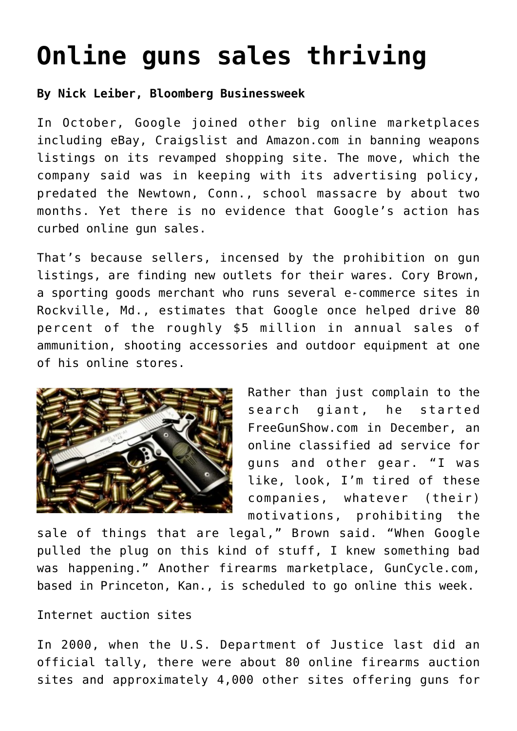## **[Online guns sales thriving](https://www.laketahoenews.net/2013/02/online-guns-sales-thriving/)**

**By Nick Leiber, Bloomberg Businessweek**

In October, Google joined other big online marketplaces including eBay, Craigslist and Amazon.com in banning weapons listings on its revamped shopping site. The move, which the company said was in keeping with its advertising policy, predated the Newtown, Conn., school massacre by about two months. Yet there is no evidence that Google's action has curbed online gun sales.

That's because sellers, incensed by the prohibition on gun listings, are finding new outlets for their wares. Cory Brown, a sporting goods merchant who runs several e-commerce sites in Rockville, Md., estimates that Google once helped drive 80 percent of the roughly \$5 million in annual sales of ammunition, shooting accessories and outdoor equipment at one of his online stores.



Rather than just complain to the search giant, he started FreeGunShow.com in December, an online classified ad service for guns and other gear. "I was like, look, I'm tired of these companies, whatever (their) motivations, prohibiting the

sale of things that are legal," Brown said. "When Google pulled the plug on this kind of stuff, I knew something bad was happening." Another firearms marketplace, GunCycle.com, based in Princeton, Kan., is scheduled to go online this week.

## Internet auction sites

In 2000, when the U.S. Department of Justice last did an official tally, there were about 80 online firearms auction sites and approximately 4,000 other sites offering guns for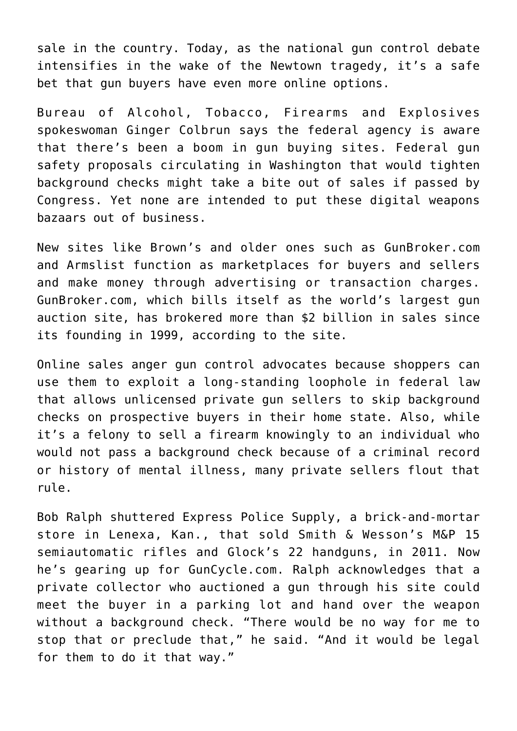sale in the country. Today, as the national gun control debate intensifies in the wake of the Newtown tragedy, it's a safe bet that gun buyers have even more online options.

Bureau of Alcohol, Tobacco, Firearms and Explosives spokeswoman Ginger Colbrun says the federal agency is aware that there's been a boom in gun buying sites. Federal gun safety proposals circulating in Washington that would tighten background checks might take a bite out of sales if passed by Congress. Yet none are intended to put these digital weapons bazaars out of business.

New sites like Brown's and older ones such as GunBroker.com and Armslist function as marketplaces for buyers and sellers and make money through advertising or transaction charges. GunBroker.com, which bills itself as the world's largest gun auction site, has brokered more than \$2 billion in sales since its founding in 1999, according to the site.

Online sales anger gun control advocates because shoppers can use them to exploit a long-standing loophole in federal law that allows unlicensed private gun sellers to skip background checks on prospective buyers in their home state. Also, while it's a felony to sell a firearm knowingly to an individual who would not pass a background check because of a criminal record or history of mental illness, many private sellers flout that rule.

Bob Ralph shuttered Express Police Supply, a brick-and-mortar store in Lenexa, Kan., that sold Smith & Wesson's M&P 15 semiautomatic rifles and Glock's 22 handguns, in 2011. Now he's gearing up for GunCycle.com. Ralph acknowledges that a private collector who auctioned a gun through his site could meet the buyer in a parking lot and hand over the weapon without a background check. "There would be no way for me to stop that or preclude that," he said. "And it would be legal for them to do it that way."